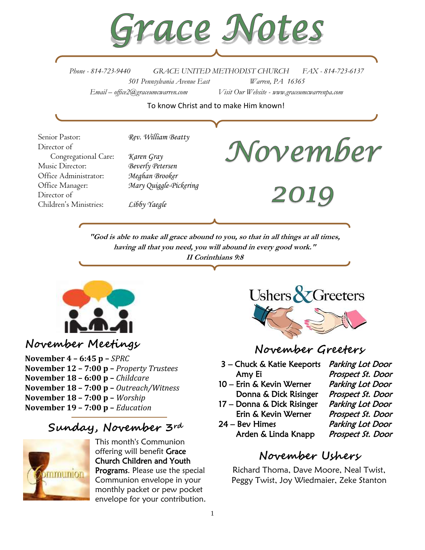

*Phone - 814-723-9440 GRACE UNITED METHODIST CHURCH FAX - 814-723-6137 501 Pennsylvania Avenue East Warren, PA 16365 Email – office2@graceumcwarren.com Visit Our Website - www.graceumcwarrenpa.com* 

To know Christ and to make Him known!

Senior Pastor: *Rev. William Beatty* Director of Congregational Care: *Karen Gray* Music Director: *Beverly Petersen* Office Administrator: *Meghan Brooker* Office Manager: *Mary Quiggle-Pickering* Director of Children's Ministries: *Libby Yaegle*

November

2019

**"God is able to make all grace abound to you, so that in all things at all times, having all that you need, you will abound in every good work." II Corinthians 9:8**



## **November Meetings**

**November 4 – 6:45 p –** *SPRC* **November 12 – 7:00 p –** *Property Trustees* **November 18 – 6:00 p –** *Childcare* **November 18 – 7:00 p –** *Outreach/Witness* **November 18 – 7:00 p –** *Worship* **November 19 – 7:00 p –** *Education* 

## **Sunday, November 3rd**



This month's Communion offering will benefit Grace Church Children and Youth Programs. Please use the special Communion envelope in your monthly packet or pew pocket envelope for your contribution.



## **November Greeters**

- 3 Chuck & Katie Keeports Parking Lot Door Amy Ei Prospect St. Door
- 10 Erin & Kevin Werner Parking Lot Door Donna & Dick Risinger Prospect St. Door
- 17 Donna & Dick Risinger Parking Lot Door Erin & Kevin Werner Prospect St. Door
- 24 Bev Himes Parking Lot Door Arden & Linda Knapp Prospect St. Door

# **November Ushers**

Richard Thoma, Dave Moore, Neal Twist, Peggy Twist, Joy Wiedmaier, Zeke Stanton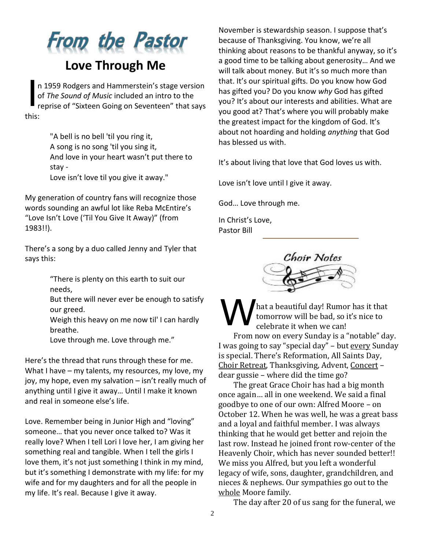**From the Pastor** 

# **Love Through Me**

n 1959 Rodgers and Hammerstein's stage version of *The Sound of Music* included an intro to the reprise of "Sixteen Going on Seventeen" that says this: I

> "A bell is no bell 'til you ring it, A song is no song 'til you sing it, And love in your heart wasn't put there to stay -

Love isn't love til you give it away."

My generation of country fans will recognize those words sounding an awful lot like Reba McEntire's "Love Isn't Love ('Til You Give It Away)" (from 1983!!).

There's a song by a duo called Jenny and Tyler that says this:

> "There is plenty on this earth to suit our needs,

But there will never ever be enough to satisfy our greed.

Weigh this heavy on me now til' I can hardly breathe.

Love through me. Love through me."

Here's the thread that runs through these for me. What I have – my talents, my resources, my love, my joy, my hope, even my salvation – isn't really much of anything until I give it away… Until I make it known and real in someone else's life.

Love. Remember being in Junior High and "loving" someone… that you never once talked to? Was it really love? When I tell Lori I love her, I am giving her something real and tangible. When I tell the girls I love them, it's not just something I think in my mind, but it's something I demonstrate with my life: for my wife and for my daughters and for all the people in my life. It's real. Because I give it away.

November is stewardship season. I suppose that's because of Thanksgiving. You know, we're all thinking about reasons to be thankful anyway, so it's a good time to be talking about generosity… And we will talk about money. But it's so much more than that. It's our spiritual gifts. Do you know how God has gifted you? Do you know *why* God has gifted you? It's about our interests and abilities. What are you good at? That's where you will probably make the greatest impact for the kingdom of God. It's about not hoarding and holding *anything* that God has blessed us with.

It's about living that love that God loves us with.

Love isn't love until I give it away.

God… Love through me.

In Christ's Love, Pastor Bill



hat a beautiful day! Rumor has it that tomorrow will be bad, so it's nice to celebrate it when we can! From now on every Sunday is a "notable" day. I was going to say "special day" – but every Sunday is special. There's Reformation, All Saints Day, Choir Retreat, Thanksgiving, Advent, Concert – dear gussie – where did the time go? W

The great Grace Choir has had a big month once again… all in one weekend. We said a final goodbye to one of our own: Alfred Moore – on October 12. When he was well, he was a great bass and a loyal and faithful member. I was always thinking that he would get better and rejoin the last row. Instead he joined front row-center of the Heavenly Choir, which has never sounded better!! We miss you Alfred, but you left a wonderful legacy of wife, sons, daughter, grandchildren, and nieces & nephews. Our sympathies go out to the whole Moore family.

The day after 20 of us sang for the funeral, we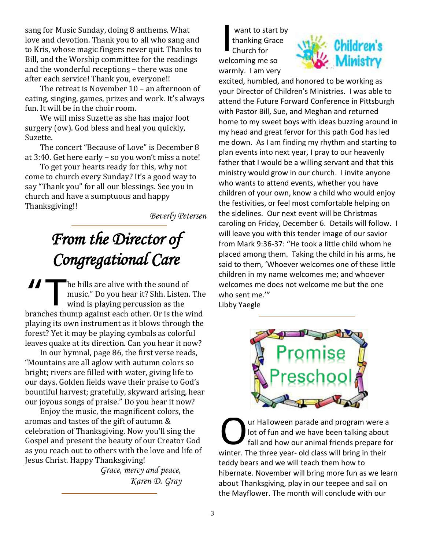sang for Music Sunday, doing 8 anthems. What love and devotion. Thank you to all who sang and to Kris, whose magic fingers never quit. Thanks to Bill, and the Worship committee for the readings and the wonderful receptions – there was one after each service! Thank you, everyone!!

The retreat is November 10 – an afternoon of eating, singing, games, prizes and work. It's always fun. It will be in the choir room.

We will miss Suzette as she has major foot surgery (ow). God bless and heal you quickly, Suzette.

The concert "Because of Love" is December 8 at 3:40. Get here early – so you won't miss a note!

To get your hearts ready for this, why not come to church every Sunday? It's a good way to say "Thank you" for all our blessings. See you in church and have a sumptuous and happy Thanksgiving!!

*Beverly Petersen*

# *From the Director of Congregational Care*

The hills are alive with the sound of music." Do you hear it? Shh. Listen. The wind is playing percussion as the branches thump against each other. Or is the wind playing its own instrument as it blows through the forest? Yet it may be playing cymbals as colorful leaves quake at its direction. Can you hear it now? "T

In our hymnal, page 86, the first verse reads, "Mountains are all aglow with autumn colors so bright; rivers are filled with water, giving life to our days. Golden fields wave their praise to God's bountiful harvest; gratefully, skyward arising, hear our joyous songs of praise." Do you hear it now?

Enjoy the music, the magnificent colors, the aromas and tastes of the gift of autumn & celebration of Thanksgiving. Now you'll sing the Gospel and present the beauty of our Creator God as you reach out to others with the love and life of Jesus Christ. Happy Thanksgiving!

*Grace, mercy and peace, Karen D. Gray*

want to start by thanking Grace Church for welcoming me so warmly. I am very I



excited, humbled, and honored to be working as your Director of Children's Ministries. I was able to attend the Future Forward Conference in Pittsburgh with Pastor Bill, Sue, and Meghan and returned home to my sweet boys with ideas buzzing around in my head and great fervor for this path God has led me down. As I am finding my rhythm and starting to plan events into next year, I pray to our heavenly father that I would be a willing servant and that this ministry would grow in our church. I invite anyone who wants to attend events, whether you have children of your own, know a child who would enjoy the festivities, or feel most comfortable helping on the sidelines. Our next event will be Christmas caroling on Friday, December 6. Details will follow. I will leave you with this tender image of our savior from Mark 9:36-37: "He took a little child whom he placed among them. Taking the child in his arms, he said to them, 'Whoever welcomes one of these little children in my name welcomes me; and whoever welcomes me does not welcome me but the one who sent me.'" Libby Yaegle



ur Halloween parade and program were a lot of fun and we have been talking about fall and how our animal friends prepare for winter. The three year- old class will bring in their teddy bears and we will teach them how to hibernate. November will bring more fun as we learn about Thanksgiving, play in our teepee and sail on the Mayflower. The month will conclude with our O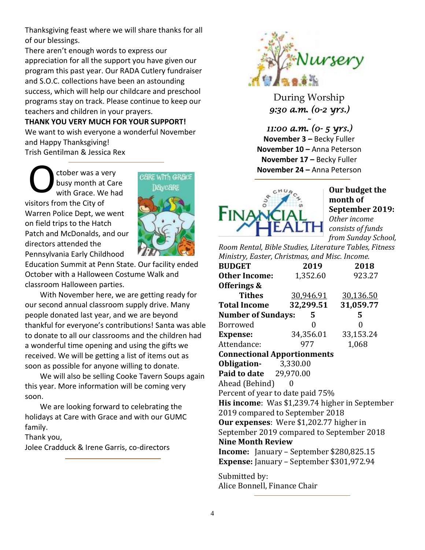Thanksgiving feast where we will share thanks for all of our blessings.

There aren't enough words to express our appreciation for all the support you have given our program this past year. Our RADA Cutlery fundraiser and S.O.C. collections have been an astounding success, which will help our childcare and preschool programs stay on track. Please continue to keep our teachers and children in your prayers.

### **THANK YOU VERY MUCH FOR YOUR SUPPORT!** We want to wish everyone a wonderful November and Happy Thanksgiving! Trish Gentilman & Jessica Rex

ctober was a very busy month at Care with Grace. We had visitors from the City of Warren Police Dept, we went on field trips to the Hatch Patch and McDonalds, and our directors attended the Pennsylvania Early Childhood O



Education Summit at Penn State. Our facility ended October with a Halloween Costume Walk and classroom Halloween parties.

With November here, we are getting ready for our second annual classroom supply drive. Many people donated last year, and we are beyond thankful for everyone's contributions! Santa was able to donate to all our classrooms and the children had a wonderful time opening and using the gifts we received. We will be getting a list of items out as soon as possible for anyone willing to donate.

We will also be selling Cooke Tavern Soups again this year. More information will be coming very soon.

We are looking forward to celebrating the holidays at Care with Grace and with our GUMC family.

Thank you,

Jolee Cradduck & Irene Garris, co-directors



During Worship *9:30 a.m. (0-2 yrs.)* 

*~* 

*11:00 a.m. (0- 5 yrs.)*  **November 3** *–* Becky Fuller **November 10 –** Anna Peterson **November 17 –** Becky Fuller **November 24 –** Anna Peterson



**Our budget the month of September 2019:** *Other income consists of funds from Sunday School,* 

*Room Rental, Bible Studies, Literature Tables, Fitness Ministry, Easter, Christmas, and Misc. Income.*

| <b>BUDGET</b>                                    | 2019                       | 2018      |  |  |  |  |  |  |
|--------------------------------------------------|----------------------------|-----------|--|--|--|--|--|--|
| <b>Other Income:</b>                             | 1,352.60                   | 923.27    |  |  |  |  |  |  |
| Offerings &                                      |                            |           |  |  |  |  |  |  |
| <b>Tithes</b>                                    | <u>30,946.91 30,136.50</u> |           |  |  |  |  |  |  |
| <b>Total Income</b>                              | 32,299.51                  | 31,059.77 |  |  |  |  |  |  |
| <b>Number of Sundays:</b>                        | - 5                        | 5         |  |  |  |  |  |  |
| Borrowed                                         | 0                          | 0         |  |  |  |  |  |  |
| <b>Expense:</b>                                  | 34,356.01 33,153.24        |           |  |  |  |  |  |  |
| Attendance:                                      | 977                        | 1,068     |  |  |  |  |  |  |
| <b>Connectional Apportionments</b>               |                            |           |  |  |  |  |  |  |
| <b>Obligation-</b> 3,330.00                      |                            |           |  |  |  |  |  |  |
| <b>Paid to date</b> 29,970.00                    |                            |           |  |  |  |  |  |  |
| Ahead (Behind)                                   |                            |           |  |  |  |  |  |  |
| Percent of year to date paid 75%                 |                            |           |  |  |  |  |  |  |
| His income: Was \$1,239.74 higher in September   |                            |           |  |  |  |  |  |  |
| 2019 compared to September 2018                  |                            |           |  |  |  |  |  |  |
| Our expenses: Were \$1,202.77 higher in          |                            |           |  |  |  |  |  |  |
| September 2019 compared to September 2018        |                            |           |  |  |  |  |  |  |
| <b>Nine Month Review</b>                         |                            |           |  |  |  |  |  |  |
| <b>Income:</b> January – September \$280,825.15  |                            |           |  |  |  |  |  |  |
| <b>Expense:</b> January – September \$301,972.94 |                            |           |  |  |  |  |  |  |
|                                                  |                            |           |  |  |  |  |  |  |

Submitted by: Alice Bonnell, Finance Chair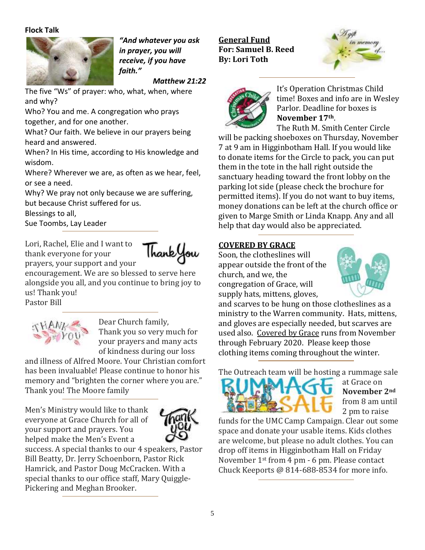### **Flock Talk**



*"And whatever you ask in prayer, you will receive, if you have faith."*

*Matthew 21:22*

The five "Ws" of prayer: who, what, when, where and why?

Who? You and me. A congregation who prays together, and for one another.

What? Our faith. We believe in our prayers being heard and answered.

When? In His time, according to His knowledge and wisdom.

Where? Wherever we are, as often as we hear, feel, or see a need.

Why? We pray not only because we are suffering, but because Christ suffered for us.

Blessings to all,

Sue Toombs, Lay Leader

Lori, Rachel, Elie and I want to thank everyone for your



prayers, your support and your encouragement. We are so blessed to serve here alongside you all, and you continue to bring joy to us! Thank you!

Pastor Bill



Dear Church family, Thank you so very much for your prayers and many acts of kindness during our loss

and illness of Alfred Moore. Your Christian comfort has been invaluable! Please continue to honor his memory and "brighten the corner where you are." Thank you! The Moore family

Men's Ministry would like to thank everyone at Grace Church for all of your support and prayers. You helped make the Men's Event a



success. A special thanks to our 4 speakers, Pastor Bill Beatty, Dr. Jerry Schoenborn, Pastor Rick Hamrick, and Pastor Doug McCracken. With a special thanks to our office staff, Mary Quiggle-Pickering and Meghan Brooker.

**General Fund For: Samuel B. Reed By: Lori Toth**





It's Operation Christmas Child time! Boxes and info are in Wesley Parlor. Deadline for boxes is **November 17th**.

The Ruth M. Smith Center Circle will be packing shoeboxes on Thursday, November 7 at 9 am in Higginbotham Hall. If you would like to donate items for the Circle to pack, you can put them in the tote in the hall right outside the sanctuary heading toward the front lobby on the parking lot side (please check the brochure for permitted items). If you do not want to buy items, money donations can be left at the church office or given to Marge Smith or Linda Knapp. Any and all help that day would also be appreciated.

### **COVERED BY GRACE**

Soon, the clotheslines will appear outside the front of the church, and we, the congregation of Grace, will supply hats, mittens, gloves,



and scarves to be hung on those clotheslines as a ministry to the Warren community. Hats, mittens, and gloves are especially needed, but scarves are used also. Covered by Grace runs from November through February 2020. Please keep those clothing items coming throughout the winter.

The Outreach team will be hosting a rummage sale



at Grace on **November 2nd** from 8 am until 2 pm to raise

funds for the UMC Camp Campaign. Clear out some space and donate your usable items. Kids clothes are welcome, but please no adult clothes. You can drop off items in Higginbotham Hall on Friday November 1st from 4 pm - 6 pm. Please contact Chuck Keeports @ 814-688-8534 for more info.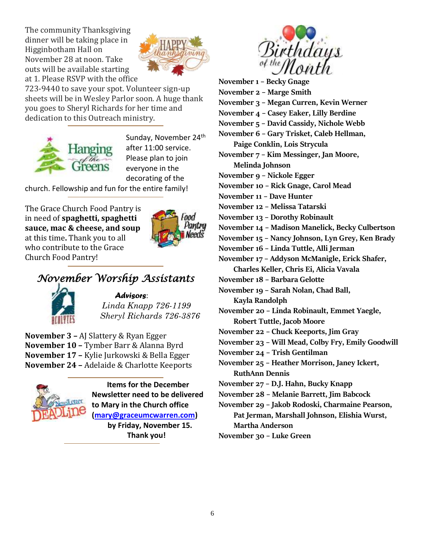The community Thanksgiving dinner will be taking place in Higginbotham Hall on November 28 at noon. Take outs will be available starting at 1. Please RSVP with the office



723-9440 to save your spot. Volunteer sign-up sheets will be in Wesley Parlor soon. A huge thank you goes to Sheryl Richards for her time and dedication to this Outreach ministry.



Sunday, November 24<sup>th</sup> after 11:00 service. Please plan to join everyone in the decorating of the

church. Fellowship and fun for the entire family!

The Grace Church Food Pantry is in need of **spaghetti, spaghetti sauce, mac & cheese, and soup** at this time**.** Thank you to all who contribute to the Grace Church Food Pantry!



# *November Worship Assistants*



*Advisors*: *Linda Knapp 726-1199 Sheryl Richards 726-3876*

**November 3 –** AJ Slattery & Ryan Egger **November 10 –** Tymber Barr & Alanna Byrd **November 17 –** Kylie Jurkowski & Bella Egger **November 24 –** Adelaide & Charlotte Keeports



 **Items for the December Newsletter need to be delivered to Mary in the Church office [\(mary@graceumcwarren.com\)](mailto:mary@graceumcwarren.com) by Friday, November 15. Thank you!**



**November 1 – Becky Gnage November 2 – Marge Smith November 3 – Megan Curren, Kevin Werner November 4 – Casey Eaker, Lilly Berdine November 5 – David Cassidy, Nichole Webb November 6 – Gary Trisket, Caleb Hellman, Paige Conklin, Lois Strycula November 7 – Kim Messinger, Jan Moore, Melinda Johnson November 9 – Nickole Egger November 10 – Rick Gnage, Carol Mead November 11 – Dave Hunter November 12 – Melissa Tatarski November 13 – Dorothy Robinault November 14 – Madison Manelick, Becky Culbertson November 15 – Nancy Johnson, Lyn Grey, Ken Brady November 16 – Linda Tuttle, Alli Jerman November 17 – Addyson McManigle, Erick Shafer, Charles Keller, Chris Ei, Alicia Vavala November 18 – Barbara Gelotte November 19 – Sarah Nolan, Chad Ball, Kayla Randolph November 20 – Linda Robinault, Emmet Yaegle, Robert Tuttle, Jacob Moore November 22 – Chuck Keeports, Jim Gray November 23 – Will Mead, Colby Fry, Emily Goodwill November 24 – Trish Gentilman November 25 – Heather Morrison, Janey Ickert, RuthAnn Dennis November 27 – D.J. Hahn, Bucky Knapp November 28 – Melanie Barrett, Jim Babcock November 29 – Jakob Rodoski, Charmaine Pearson, Pat Jerman, Marshall Johnson, Elishia Wurst, Martha Anderson**

**November 30 – Luke Green**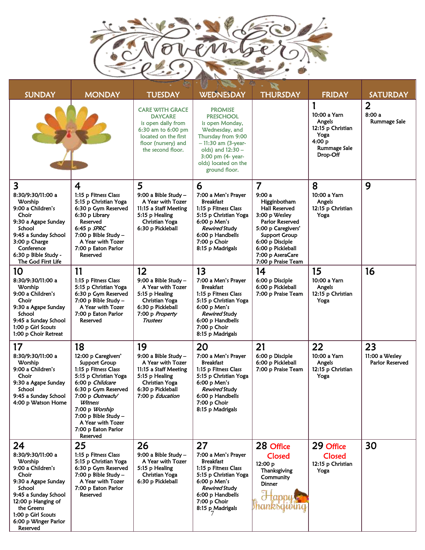

| <b>SUNDAY</b>                                                                                                                                                                                                           | <b>MONDAY</b>                                                                                                                                                                                                                                                                  | <b>TUESDAY</b>                                                                                                                                           | w<br><b>WEDNESDAY</b>                                                                                                                                                                                      | <b>THURSDAY</b>                                                                                                                                                                                                                     | <b>FRIDAY</b>                                                                             | <b>SATURDAY</b>                                |
|-------------------------------------------------------------------------------------------------------------------------------------------------------------------------------------------------------------------------|--------------------------------------------------------------------------------------------------------------------------------------------------------------------------------------------------------------------------------------------------------------------------------|----------------------------------------------------------------------------------------------------------------------------------------------------------|------------------------------------------------------------------------------------------------------------------------------------------------------------------------------------------------------------|-------------------------------------------------------------------------------------------------------------------------------------------------------------------------------------------------------------------------------------|-------------------------------------------------------------------------------------------|------------------------------------------------|
|                                                                                                                                                                                                                         |                                                                                                                                                                                                                                                                                | <b>CARE WITH GRACE</b><br><b>DAYCARE</b><br>is open daily from<br>6:30 am to 6:00 pm<br>located on the first<br>floor (nursery) and<br>the second floor. | <b>PROMISE</b><br><b>PRESCHOOL</b><br>is open Monday,<br>Wednesday, and<br>Thursday from 9:00<br>$-11:30$ am (3-year-<br>olds) and $12:30 -$<br>3:00 pm (4- year-<br>olds) located on the<br>ground floor. |                                                                                                                                                                                                                                     | 10:00 a Yarn<br>Angels<br>12:15 p Christian<br>Yoga<br>4:00 p<br>Rummage Sale<br>Drop-Off | $\overline{2}$<br>8:00a<br><b>Rummage Sale</b> |
| 3<br>8:30/9:30/11:00 a<br>Worship<br>9:00 a Children's<br>Choir<br>9:30 a Agape Sunday<br>School<br>9:45 a Sunday School<br>3:00 p Charge<br>Conference<br>6:30 p Bible Study -<br>The God First Life                   | 4<br>1:15 p Fitness Class<br>5:15 p Christian Yoga<br>6:30 p Gym Reserved<br>6:30 p Library<br>Reserved<br>6:45 p SPRC<br>7:00 p Bible Study -<br>A Year with Tozer<br>7:00 p Eaton Parlor<br>Reserved                                                                         | 5<br>9:00 a Bible Study -<br>A Year with Tozer<br>11:15 a Staff Meeting<br>5:15 p Healing<br>Christian Yoga<br>6:30 p Pickleball                         | 6<br>7:00 a Men's Prayer<br><b>Breakfast</b><br>1:15 p Fitness Class<br>5:15 p Christian Yoga<br>6:00 p Men's<br><i>Rewired</i> Study<br>6:00 p Handbells<br>7:00 p Choir<br>8:15 p Madrigals              | $\overline{7}$<br>9:00a<br>Higginbotham<br><b>Hall Reserved</b><br>3:00 p Wesley<br>Parlor Reserved<br>5:00 p Caregivers'<br><b>Support Group</b><br>6:00 p Disciple<br>6:00 p Pickleball<br>7:00 p AseraCare<br>7:00 p Praise Team | 8<br>10:00 a Yarn<br>Angels<br>12:15 p Christian<br>Yoga                                  | 9                                              |
| 10<br>8:30/9:30/11:00 a<br>Worship<br>9:00 a Children's<br>Choir<br>9:30 a Agape Sunday<br>School<br>9:45 a Sunday School<br>1:00 p Girl Scouts<br>1:00 p Choir Retreat                                                 | 11<br>1:15 p Fitness Class<br>5:15 p Christian Yoga<br>6:30 p Gym Reserved<br>7:00 p Bible Study -<br>A Year with Tozer<br>7:00 p Eaton Parlor<br>Reserved                                                                                                                     | 12<br>9:00 a Bible Study -<br>A Year with Tozer<br>5:15 p Healing<br>Christian Yoga<br>6:30 p Pickleball<br>7:00 p Property<br><b>Trustees</b>           | 13<br>7:00 a Men's Prayer<br><b>Breakfast</b><br>1:15 p Fitness Class<br>5:15 p Christian Yoga<br>6:00 p Men's<br><i>Rewired</i> Study<br>6:00 p Handbells<br>7:00 p Choir<br>8:15 p Madrigals             | 14<br>6:00 p Disciple<br>6:00 p Pickleball<br>7:00 p Praise Team                                                                                                                                                                    | 15<br>10:00 a Yarn<br>Angels<br>12:15 p Christian<br>Yoga                                 | 16                                             |
| 17<br>8:30/9:30/11:00 a<br>Worship<br>9:00 a Children's<br>Choir<br>9:30 a Agape Sunday<br>School<br>9:45 a Sunday School<br>4:00 p Watson Home                                                                         | 18<br>12:00 p Caregivers'<br><b>Support Group</b><br>1:15 p Fitness Class<br>5:15 p Christian Yoga<br>6:00 p Childcare<br>6:30 p Gym Reserved<br>7:00 p Outreach/<br>Witness<br>7:00 p Worship<br>7:00 p Bible Study -<br>A Year with Tozer<br>7:00 p Eaton Parlor<br>Reserved | 19<br>9:00 a Bible Study -<br>A Year with Tozer<br>11:15 a Staff Meeting<br>5:15 p Healing<br>Christian Yoga<br>6:30 p Pickleball<br>7:00 p Education    | 20<br>7:00 a Men's Prayer<br><b>Breakfast</b><br>1:15 p Fitness Class<br>5:15 p Christian Yoga<br>6:00 p Men's<br><i>Rewired</i> Study<br>6:00 p Handbells<br>7:00 p Choir<br>8:15 p Madrigals             | 21<br>6:00 p Disciple<br>6:00 p Pickleball<br>7:00 p Praise Team                                                                                                                                                                    | 22<br>10:00 a Yarn<br>Angels<br>12:15 p Christian<br>Yoga                                 | 23<br>11:00 a Wesley<br>Parlor Reserved        |
| 24<br>8:30/9:30/11:00 a<br>Worship<br>9:00 a Children's<br>Choir<br>9:30 a Agape Sunday<br>School<br>9:45 a Sunday School<br>12:00 p Hanging of<br>the Greens<br>1:00 p Girl Scouts<br>6:00 p Winger Parlor<br>Reserved | 25<br>1:15 p Fitness Class<br>5:15 p Christian Yoga<br>6:30 p Gym Reserved<br>$7:00$ p Bible Study $-$<br>A Year with Tozer<br>7:00 p Eaton Parlor<br>Reserved                                                                                                                 | 26<br>9:00 a Bible Study $-$<br>A Year with Tozer<br>5:15 p Healing<br>Christian Yoga<br>6:30 p Pickleball                                               | 27<br>7:00 a Men's Prayer<br><b>Breakfast</b><br>1:15 p Fitness Class<br>5:15 p Christian Yoga<br>$6:00 p$ Men's<br>Rewired Study<br>6:00 p Handbells<br>7:00 p Choir<br>8:15 p_Madrigals                  | 28 Office<br>Closed<br>12:00 p<br>Thanksgiving<br>Community<br><b>Dinner</b>                                                                                                                                                        | 29 Office<br>Closed<br>12:15 p Christian<br>Yoga                                          | 30                                             |